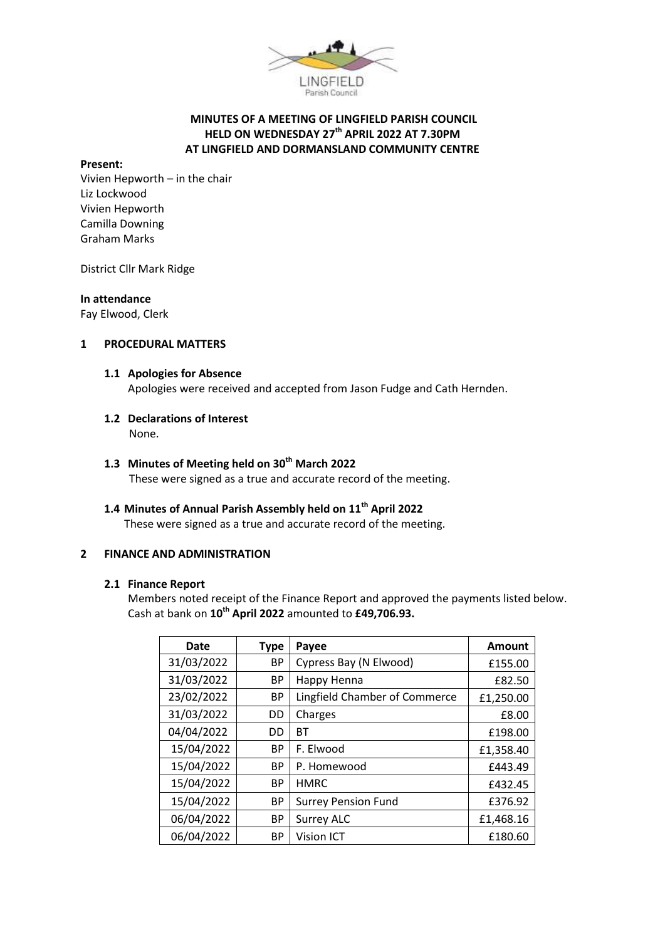

# **MINUTES OF A MEETING OF LINGFIELD PARISH COUNCIL HELD ON WEDNESDAY 27th APRIL 2022 AT 7.30PM AT LINGFIELD AND DORMANSLAND COMMUNITY CENTRE**

#### **Present:**

Vivien Hepworth – in the chair Liz Lockwood Vivien Hepworth Camilla Downing Graham Marks

District Cllr Mark Ridge

#### **In attendance**

Fay Elwood, Clerk

# **1 PROCEDURAL MATTERS**

#### **1.1 Apologies for Absence**

Apologies were received and accepted from Jason Fudge and Cath Hernden.

# **1.2 Declarations of Interest**

None.

# **1.3 Minutes of Meeting held on 30th March 2022**

These were signed as a true and accurate record of the meeting.

# **1.4 Minutes of Annual Parish Assembly held on 11th April 2022**

These were signed as a true and accurate record of the meeting.

# **2 FINANCE AND ADMINISTRATION**

# **2.1 Finance Report**

Members noted receipt of the Finance Report and approved the payments listed below. Cash at bank on **10th April 2022** amounted to **£49,706.93.**

| <b>Date</b> | <b>Type</b> | Payee                         | Amount    |
|-------------|-------------|-------------------------------|-----------|
| 31/03/2022  | <b>BP</b>   | Cypress Bay (N Elwood)        | £155.00   |
| 31/03/2022  | BP          | Happy Henna                   | £82.50    |
| 23/02/2022  | <b>BP</b>   | Lingfield Chamber of Commerce | £1,250.00 |
| 31/03/2022  | DD          | Charges                       | £8.00     |
| 04/04/2022  | DD          | ВT                            | £198.00   |
| 15/04/2022  | <b>BP</b>   | F. Elwood                     | £1,358.40 |
| 15/04/2022  | <b>BP</b>   | P. Homewood                   | £443.49   |
| 15/04/2022  | <b>BP</b>   | <b>HMRC</b>                   | £432.45   |
| 15/04/2022  | ВP          | <b>Surrey Pension Fund</b>    | £376.92   |
| 06/04/2022  | <b>BP</b>   | <b>Surrey ALC</b>             | £1,468.16 |
| 06/04/2022  | <b>BP</b>   | <b>Vision ICT</b>             | £180.60   |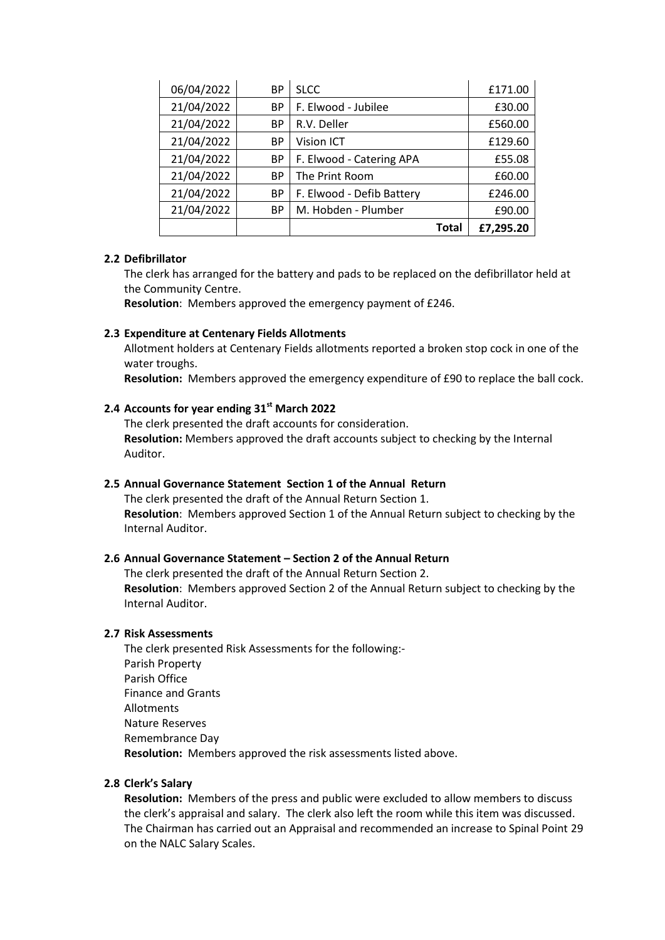| 06/04/2022 | ВP        | <b>SLCC</b>               | £171.00   |
|------------|-----------|---------------------------|-----------|
| 21/04/2022 | <b>BP</b> | F. Elwood - Jubilee       | £30.00    |
| 21/04/2022 | ВP        | R.V. Deller               | £560.00   |
| 21/04/2022 | ВP        | <b>Vision ICT</b>         | £129.60   |
| 21/04/2022 | <b>BP</b> | F. Elwood - Catering APA  | £55.08    |
| 21/04/2022 | <b>BP</b> | The Print Room            | £60.00    |
| 21/04/2022 | ВP        | F. Elwood - Defib Battery | £246.00   |
| 21/04/2022 | <b>BP</b> | M. Hobden - Plumber       | £90.00    |
|            |           | Total                     | £7,295.20 |

#### **2.2 Defibrillator**

The clerk has arranged for the battery and pads to be replaced on the defibrillator held at the Community Centre.

**Resolution**: Members approved the emergency payment of £246.

#### **2.3 Expenditure at Centenary Fields Allotments**

Allotment holders at Centenary Fields allotments reported a broken stop cock in one of the water troughs.

**Resolution:** Members approved the emergency expenditure of £90 to replace the ball cock.

# **2.4 Accounts for year ending 31st March 2022**

The clerk presented the draft accounts for consideration. **Resolution:** Members approved the draft accounts subject to checking by the Internal Auditor.

### **2.5 Annual Governance Statement Section 1 of the Annual Return**

The clerk presented the draft of the Annual Return Section 1. **Resolution**: Members approved Section 1 of the Annual Return subject to checking by the Internal Auditor.

# **2.6 Annual Governance Statement – Section 2 of the Annual Return**

The clerk presented the draft of the Annual Return Section 2. **Resolution**: Members approved Section 2 of the Annual Return subject to checking by the Internal Auditor.

#### **2.7 Risk Assessments**

The clerk presented Risk Assessments for the following:- Parish Property Parish Office Finance and Grants Allotments Nature Reserves Remembrance Day **Resolution:** Members approved the risk assessments listed above.

# **2.8 Clerk's Salary**

**Resolution:** Members of the press and public were excluded to allow members to discuss the clerk's appraisal and salary. The clerk also left the room while this item was discussed. The Chairman has carried out an Appraisal and recommended an increase to Spinal Point 29 on the NALC Salary Scales.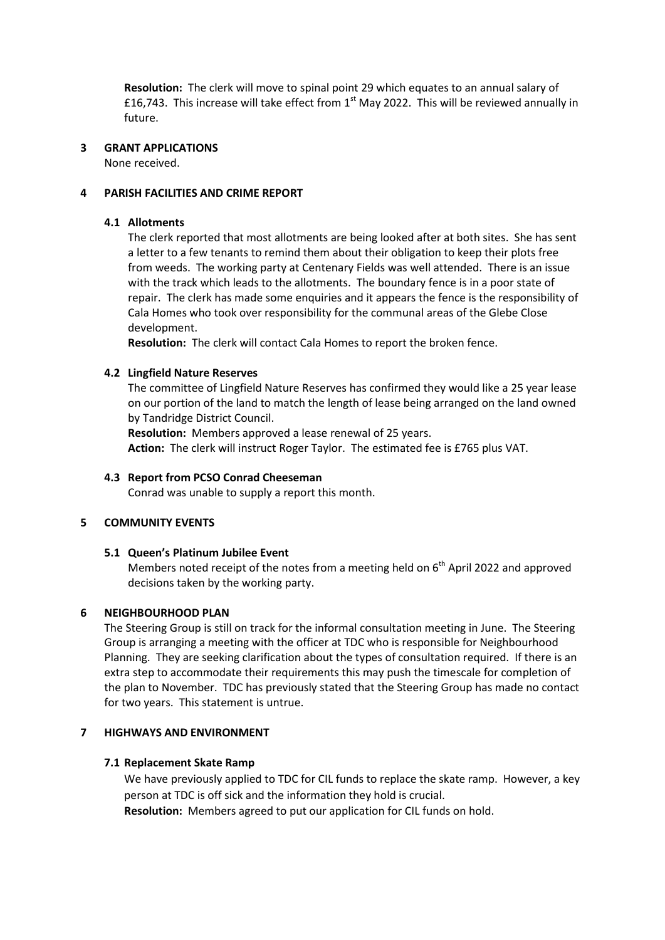**Resolution:** The clerk will move to spinal point 29 which equates to an annual salary of £16,743. This increase will take effect from  $1<sup>st</sup>$  May 2022. This will be reviewed annually in future.

#### **3 GRANT APPLICATIONS**

None received.

#### **4 PARISH FACILITIES AND CRIME REPORT**

#### **4.1 Allotments**

The clerk reported that most allotments are being looked after at both sites. She has sent a letter to a few tenants to remind them about their obligation to keep their plots free from weeds. The working party at Centenary Fields was well attended. There is an issue with the track which leads to the allotments. The boundary fence is in a poor state of repair. The clerk has made some enquiries and it appears the fence is the responsibility of Cala Homes who took over responsibility for the communal areas of the Glebe Close development.

**Resolution:** The clerk will contact Cala Homes to report the broken fence.

#### **4.2 Lingfield Nature Reserves**

The committee of Lingfield Nature Reserves has confirmed they would like a 25 year lease on our portion of the land to match the length of lease being arranged on the land owned by Tandridge District Council.

**Resolution:** Members approved a lease renewal of 25 years. **Action:** The clerk will instruct Roger Taylor. The estimated fee is £765 plus VAT.

#### **4.3 Report from PCSO Conrad Cheeseman**

Conrad was unable to supply a report this month.

#### **5 COMMUNITY EVENTS**

#### **5.1 Queen's Platinum Jubilee Event**

Members noted receipt of the notes from a meeting held on  $6<sup>th</sup>$  April 2022 and approved decisions taken by the working party.

### **6 NEIGHBOURHOOD PLAN**

The Steering Group is still on track for the informal consultation meeting in June. The Steering Group is arranging a meeting with the officer at TDC who is responsible for Neighbourhood Planning. They are seeking clarification about the types of consultation required. If there is an extra step to accommodate their requirements this may push the timescale for completion of the plan to November. TDC has previously stated that the Steering Group has made no contact for two years. This statement is untrue.

#### **7 HIGHWAYS AND ENVIRONMENT**

#### **7.1 Replacement Skate Ramp**

We have previously applied to TDC for CIL funds to replace the skate ramp. However, a key person at TDC is off sick and the information they hold is crucial.

**Resolution:** Members agreed to put our application for CIL funds on hold.